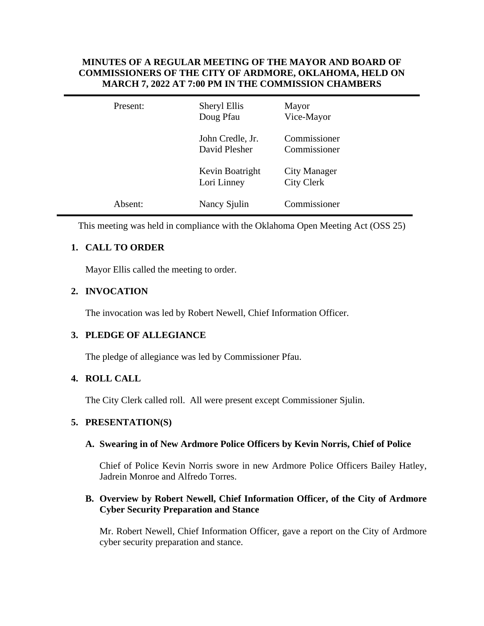### **MINUTES OF A REGULAR MEETING OF THE MAYOR AND BOARD OF COMMISSIONERS OF THE CITY OF ARDMORE, OKLAHOMA, HELD ON MARCH 7, 2022 AT 7:00 PM IN THE COMMISSION CHAMBERS**

| Present: | Sheryl Ellis<br>Doug Pfau         | Mayor<br>Vice-Mayor                      |
|----------|-----------------------------------|------------------------------------------|
|          | John Credle, Jr.<br>David Plesher | Commissioner<br>Commissioner             |
|          | Kevin Boatright<br>Lori Linney    | <b>City Manager</b><br><b>City Clerk</b> |
| Absent:  | Nancy Sjulin                      | Commissioner                             |

This meeting was held in compliance with the Oklahoma Open Meeting Act (OSS 25)

# **1. CALL TO ORDER**

Mayor Ellis called the meeting to order.

# **2. INVOCATION**

The invocation was led by Robert Newell, Chief Information Officer.

## **3. PLEDGE OF ALLEGIANCE**

The pledge of allegiance was led by Commissioner Pfau.

## **4. ROLL CALL**

The City Clerk called roll. All were present except Commissioner Sjulin.

## **5. PRESENTATION(S)**

### **A. Swearing in of New Ardmore Police Officers by Kevin Norris, Chief of Police**

Chief of Police Kevin Norris swore in new Ardmore Police Officers Bailey Hatley, Jadrein Monroe and Alfredo Torres.

## **B. Overview by Robert Newell, Chief Information Officer, of the City of Ardmore Cyber Security Preparation and Stance**

Mr. Robert Newell, Chief Information Officer, gave a report on the City of Ardmore cyber security preparation and stance.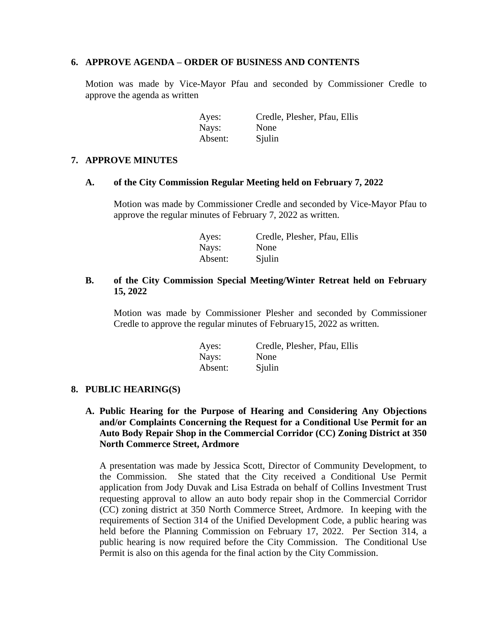### **6. APPROVE AGENDA – ORDER OF BUSINESS AND CONTENTS**

Motion was made by Vice-Mayor Pfau and seconded by Commissioner Credle to approve the agenda as written

| Ayes:   | Credle, Plesher, Pfau, Ellis |
|---------|------------------------------|
| Nays:   | None                         |
| Absent: | Sjulin                       |

### **7. APPROVE MINUTES**

### **A. of the City Commission Regular Meeting held on February 7, 2022**

Motion was made by Commissioner Credle and seconded by Vice-Mayor Pfau to approve the regular minutes of February 7, 2022 as written.

| Ayes:   | Credle, Plesher, Pfau, Ellis |
|---------|------------------------------|
| Nays:   | None                         |
| Absent: | Sjulin                       |

### **B. of the City Commission Special Meeting/Winter Retreat held on February 15, 2022**

Motion was made by Commissioner Plesher and seconded by Commissioner Credle to approve the regular minutes of February15, 2022 as written.

| Ayes:   | Credle, Plesher, Pfau, Ellis |
|---------|------------------------------|
| Nays:   | None                         |
| Absent: | Sjulin                       |

#### **8. PUBLIC HEARING(S)**

### **A. Public Hearing for the Purpose of Hearing and Considering Any Objections and/or Complaints Concerning the Request for a Conditional Use Permit for an Auto Body Repair Shop in the Commercial Corridor (CC) Zoning District at 350 North Commerce Street, Ardmore**

A presentation was made by Jessica Scott, Director of Community Development, to the Commission. She stated that the City received a Conditional Use Permit application from Jody Duvak and Lisa Estrada on behalf of Collins Investment Trust requesting approval to allow an auto body repair shop in the Commercial Corridor (CC) zoning district at 350 North Commerce Street, Ardmore. In keeping with the requirements of Section 314 of the Unified Development Code, a public hearing was held before the Planning Commission on February 17, 2022. Per Section 314, a public hearing is now required before the City Commission. The Conditional Use Permit is also on this agenda for the final action by the City Commission.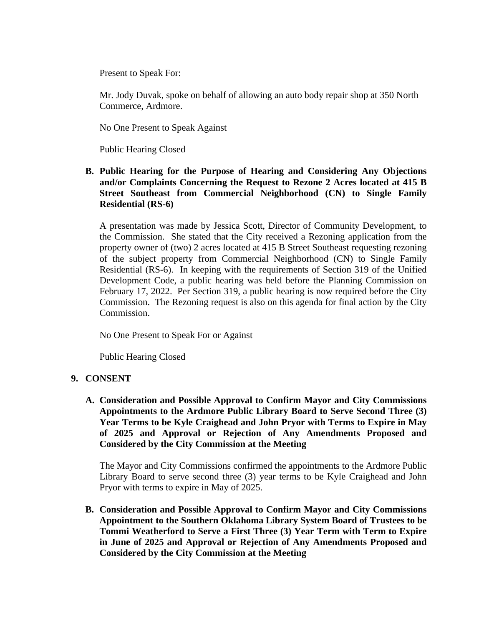Present to Speak For:

Mr. Jody Duvak, spoke on behalf of allowing an auto body repair shop at 350 North Commerce, Ardmore.

No One Present to Speak Against

Public Hearing Closed

### **B. Public Hearing for the Purpose of Hearing and Considering Any Objections and/or Complaints Concerning the Request to Rezone 2 Acres located at 415 B Street Southeast from Commercial Neighborhood (CN) to Single Family Residential (RS-6)**

A presentation was made by Jessica Scott, Director of Community Development, to the Commission. She stated that the City received a Rezoning application from the property owner of (two) 2 acres located at 415 B Street Southeast requesting rezoning of the subject property from Commercial Neighborhood (CN) to Single Family Residential (RS-6). In keeping with the requirements of Section 319 of the Unified Development Code, a public hearing was held before the Planning Commission on February 17, 2022. Per Section 319, a public hearing is now required before the City Commission. The Rezoning request is also on this agenda for final action by the City Commission.

No One Present to Speak For or Against

Public Hearing Closed

## **9. CONSENT**

**A. Consideration and Possible Approval to Confirm Mayor and City Commissions Appointments to the Ardmore Public Library Board to Serve Second Three (3) Year Terms to be Kyle Craighead and John Pryor with Terms to Expire in May of 2025 and Approval or Rejection of Any Amendments Proposed and Considered by the City Commission at the Meeting**

The Mayor and City Commissions confirmed the appointments to the Ardmore Public Library Board to serve second three (3) year terms to be Kyle Craighead and John Pryor with terms to expire in May of 2025.

**B. Consideration and Possible Approval to Confirm Mayor and City Commissions Appointment to the Southern Oklahoma Library System Board of Trustees to be Tommi Weatherford to Serve a First Three (3) Year Term with Term to Expire in June of 2025 and Approval or Rejection of Any Amendments Proposed and Considered by the City Commission at the Meeting**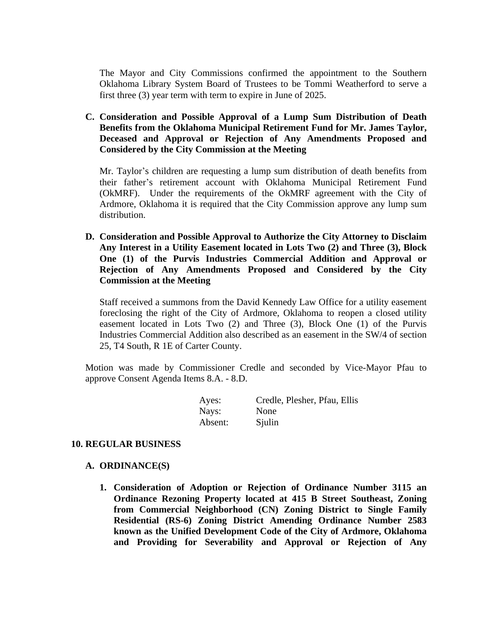The Mayor and City Commissions confirmed the appointment to the Southern Oklahoma Library System Board of Trustees to be Tommi Weatherford to serve a first three (3) year term with term to expire in June of 2025.

**C. Consideration and Possible Approval of a Lump Sum Distribution of Death Benefits from the Oklahoma Municipal Retirement Fund for Mr. James Taylor, Deceased and Approval or Rejection of Any Amendments Proposed and Considered by the City Commission at the Meeting**

Mr. Taylor's children are requesting a lump sum distribution of death benefits from their father's retirement account with Oklahoma Municipal Retirement Fund (OkMRF). Under the requirements of the OkMRF agreement with the City of Ardmore, Oklahoma it is required that the City Commission approve any lump sum distribution.

**D. Consideration and Possible Approval to Authorize the City Attorney to Disclaim Any Interest in a Utility Easement located in Lots Two (2) and Three (3), Block One (1) of the Purvis Industries Commercial Addition and Approval or Rejection of Any Amendments Proposed and Considered by the City Commission at the Meeting** 

Staff received a summons from the David Kennedy Law Office for a utility easement foreclosing the right of the City of Ardmore, Oklahoma to reopen a closed utility easement located in Lots Two (2) and Three (3), Block One (1) of the Purvis Industries Commercial Addition also described as an easement in the SW/4 of section 25, T4 South, R 1E of Carter County.

Motion was made by Commissioner Credle and seconded by Vice-Mayor Pfau to approve Consent Agenda Items 8.A. - 8.D.

| Ayes:   | Credle, Plesher, Pfau, Ellis |
|---------|------------------------------|
| Nays:   | None                         |
| Absent: | Sjulin                       |

#### **10. REGULAR BUSINESS**

#### **A. ORDINANCE(S)**

**1. Consideration of Adoption or Rejection of Ordinance Number 3115 an Ordinance Rezoning Property located at 415 B Street Southeast, Zoning from Commercial Neighborhood (CN) Zoning District to Single Family Residential (RS-6) Zoning District Amending Ordinance Number 2583 known as the Unified Development Code of the City of Ardmore, Oklahoma and Providing for Severability and Approval or Rejection of Any**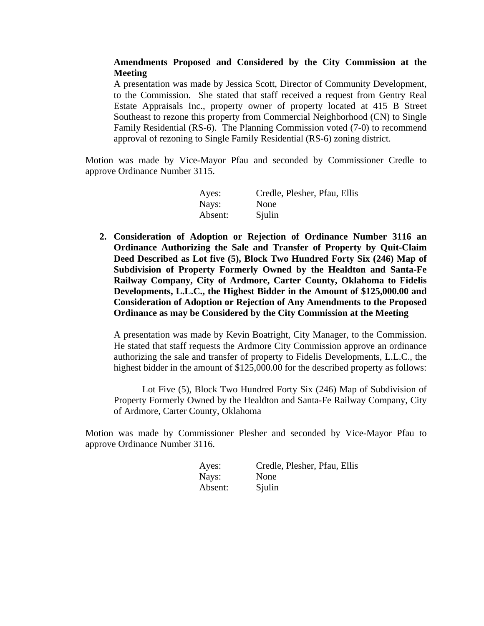### **Amendments Proposed and Considered by the City Commission at the Meeting**

A presentation was made by Jessica Scott, Director of Community Development, to the Commission. She stated that staff received a request from Gentry Real Estate Appraisals Inc., property owner of property located at 415 B Street Southeast to rezone this property from Commercial Neighborhood (CN) to Single Family Residential (RS-6). The Planning Commission voted (7-0) to recommend approval of rezoning to Single Family Residential (RS-6) zoning district.

Motion was made by Vice-Mayor Pfau and seconded by Commissioner Credle to approve Ordinance Number 3115.

| Ayes:   | Credle, Plesher, Pfau, Ellis |
|---------|------------------------------|
| Nays:   | None                         |
| Absent: | Sjulin                       |

**2. Consideration of Adoption or Rejection of Ordinance Number 3116 an Ordinance Authorizing the Sale and Transfer of Property by Quit-Claim Deed Described as Lot five (5), Block Two Hundred Forty Six (246) Map of Subdivision of Property Formerly Owned by the Healdton and Santa-Fe Railway Company, City of Ardmore, Carter County, Oklahoma to Fidelis Developments, L.L.C., the Highest Bidder in the Amount of \$125,000.00 and Consideration of Adoption or Rejection of Any Amendments to the Proposed Ordinance as may be Considered by the City Commission at the Meeting**

A presentation was made by Kevin Boatright, City Manager, to the Commission. He stated that staff requests the Ardmore City Commission approve an ordinance authorizing the sale and transfer of property to Fidelis Developments, L.L.C., the highest bidder in the amount of \$125,000.00 for the described property as follows:

Lot Five (5), Block Two Hundred Forty Six (246) Map of Subdivision of Property Formerly Owned by the Healdton and Santa-Fe Railway Company, City of Ardmore, Carter County, Oklahoma

Motion was made by Commissioner Plesher and seconded by Vice-Mayor Pfau to approve Ordinance Number 3116.

| Ayes:   | Credle, Plesher, Pfau, Ellis |
|---------|------------------------------|
| Nays:   | None                         |
| Absent: | Sjulin                       |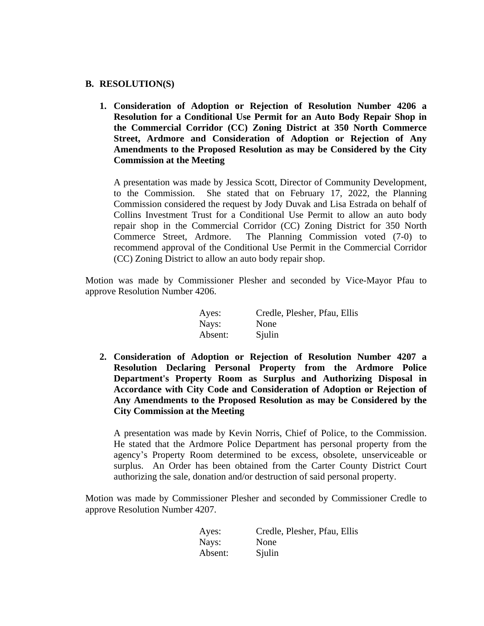#### **B. RESOLUTION(S)**

**1. Consideration of Adoption or Rejection of Resolution Number 4206 a Resolution for a Conditional Use Permit for an Auto Body Repair Shop in the Commercial Corridor (CC) Zoning District at 350 North Commerce Street, Ardmore and Consideration of Adoption or Rejection of Any Amendments to the Proposed Resolution as may be Considered by the City Commission at the Meeting**

A presentation was made by Jessica Scott, Director of Community Development, to the Commission. She stated that on February 17, 2022, the Planning Commission considered the request by Jody Duvak and Lisa Estrada on behalf of Collins Investment Trust for a Conditional Use Permit to allow an auto body repair shop in the Commercial Corridor (CC) Zoning District for 350 North Commerce Street, Ardmore. The Planning Commission voted (7-0) to recommend approval of the Conditional Use Permit in the Commercial Corridor (CC) Zoning District to allow an auto body repair shop.

Motion was made by Commissioner Plesher and seconded by Vice-Mayor Pfau to approve Resolution Number 4206.

| Ayes:   | Credle, Plesher, Pfau, Ellis |
|---------|------------------------------|
| Nays:   | None                         |
| Absent: | Sjulin                       |

**2. Consideration of Adoption or Rejection of Resolution Number 4207 a Resolution Declaring Personal Property from the Ardmore Police Department's Property Room as Surplus and Authorizing Disposal in Accordance with City Code and Consideration of Adoption or Rejection of Any Amendments to the Proposed Resolution as may be Considered by the City Commission at the Meeting**

A presentation was made by Kevin Norris, Chief of Police, to the Commission. He stated that the Ardmore Police Department has personal property from the agency's Property Room determined to be excess, obsolete, unserviceable or surplus. An Order has been obtained from the Carter County District Court authorizing the sale, donation and/or destruction of said personal property.

Motion was made by Commissioner Plesher and seconded by Commissioner Credle to approve Resolution Number 4207.

| Ayes:   | Credle, Plesher, Pfau, Ellis |
|---------|------------------------------|
| Nays:   | None                         |
| Absent: | Sjulin                       |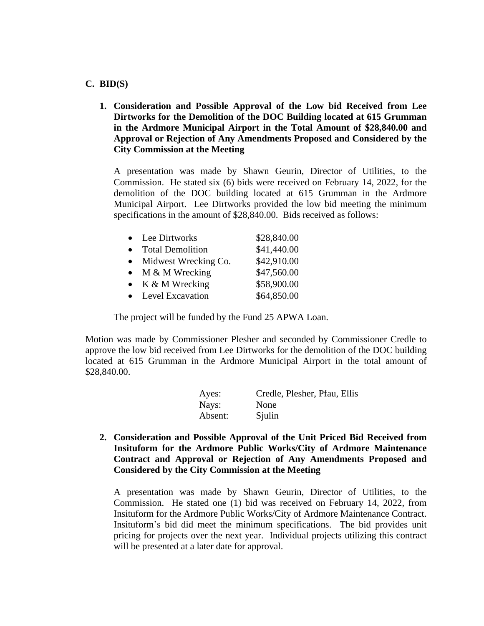### **C. BID(S)**

**1. Consideration and Possible Approval of the Low bid Received from Lee Dirtworks for the Demolition of the DOC Building located at 615 Grumman in the Ardmore Municipal Airport in the Total Amount of \$28,840.00 and Approval or Rejection of Any Amendments Proposed and Considered by the City Commission at the Meeting**

A presentation was made by Shawn Geurin, Director of Utilities, to the Commission. He stated six (6) bids were received on February 14, 2022, for the demolition of the DOC building located at 615 Grumman in the Ardmore Municipal Airport. Lee Dirtworks provided the low bid meeting the minimum specifications in the amount of \$28,840.00. Bids received as follows:

| $\bullet$ | Lee Dirtworks           | \$28,840.00 |
|-----------|-------------------------|-------------|
| $\bullet$ | <b>Total Demolition</b> | \$41,440.00 |
| $\bullet$ | Midwest Wrecking Co.    | \$42,910.00 |
| $\bullet$ | M & M Wrecking          | \$47,560.00 |
| $\bullet$ | K & M Wrecking          | \$58,900.00 |
|           | • Level Excavation      | \$64,850.00 |

The project will be funded by the Fund 25 APWA Loan.

Motion was made by Commissioner Plesher and seconded by Commissioner Credle to approve the low bid received from Lee Dirtworks for the demolition of the DOC building located at 615 Grumman in the Ardmore Municipal Airport in the total amount of \$28,840.00.

| Ayes:   | Credle, Plesher, Pfau, Ellis |
|---------|------------------------------|
| Nays:   | None                         |
| Absent: | Sjulin                       |

**2. Consideration and Possible Approval of the Unit Priced Bid Received from Insituform for the Ardmore Public Works/City of Ardmore Maintenance Contract and Approval or Rejection of Any Amendments Proposed and Considered by the City Commission at the Meeting**

A presentation was made by Shawn Geurin, Director of Utilities, to the Commission. He stated one (1) bid was received on February 14, 2022, from Insituform for the Ardmore Public Works/City of Ardmore Maintenance Contract. Insituform's bid did meet the minimum specifications. The bid provides unit pricing for projects over the next year. Individual projects utilizing this contract will be presented at a later date for approval.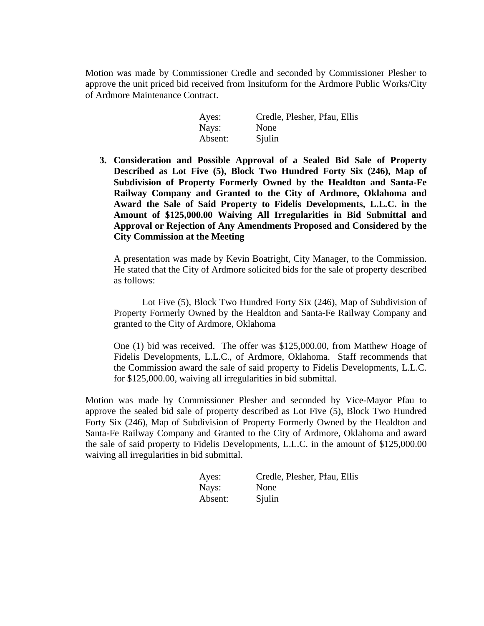Motion was made by Commissioner Credle and seconded by Commissioner Plesher to approve the unit priced bid received from Insituform for the Ardmore Public Works/City of Ardmore Maintenance Contract.

| Ayes:   | Credle, Plesher, Pfau, Ellis |
|---------|------------------------------|
| Nays:   | None                         |
| Absent: | Sjulin                       |

**3. Consideration and Possible Approval of a Sealed Bid Sale of Property Described as Lot Five (5), Block Two Hundred Forty Six (246), Map of Subdivision of Property Formerly Owned by the Healdton and Santa-Fe Railway Company and Granted to the City of Ardmore, Oklahoma and Award the Sale of Said Property to Fidelis Developments, L.L.C. in the Amount of \$125,000.00 Waiving All Irregularities in Bid Submittal and Approval or Rejection of Any Amendments Proposed and Considered by the City Commission at the Meeting**

A presentation was made by Kevin Boatright, City Manager, to the Commission. He stated that the City of Ardmore solicited bids for the sale of property described as follows:

Lot Five (5), Block Two Hundred Forty Six (246), Map of Subdivision of Property Formerly Owned by the Healdton and Santa-Fe Railway Company and granted to the City of Ardmore, Oklahoma

One (1) bid was received. The offer was \$125,000.00, from Matthew Hoage of Fidelis Developments, L.L.C., of Ardmore, Oklahoma. Staff recommends that the Commission award the sale of said property to Fidelis Developments, L.L.C. for \$125,000.00, waiving all irregularities in bid submittal.

Motion was made by Commissioner Plesher and seconded by Vice-Mayor Pfau to approve the sealed bid sale of property described as Lot Five (5), Block Two Hundred Forty Six (246), Map of Subdivision of Property Formerly Owned by the Healdton and Santa-Fe Railway Company and Granted to the City of Ardmore, Oklahoma and award the sale of said property to Fidelis Developments, L.L.C. in the amount of \$125,000.00 waiving all irregularities in bid submittal.

| Ayes:   | Credle, Plesher, Pfau, Ellis |
|---------|------------------------------|
| Nays:   | None                         |
| Absent: | Sjulin                       |